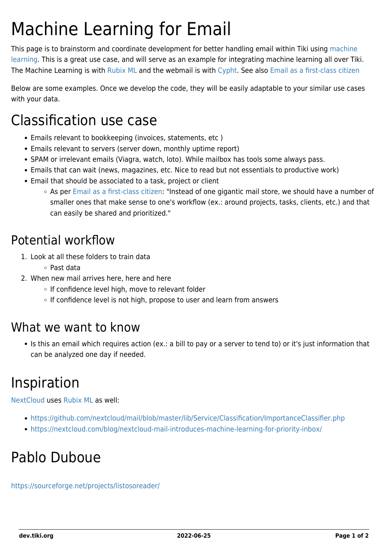# Machine Learning for Email

This page is to brainstorm and coordinate development for better handling email within Tiki using [machine](https://dev.tiki.org/Machine-Learning) [learning.](https://dev.tiki.org/Machine-Learning) This is a great use case, and will serve as an example for integrating machine learning all over Tiki. The Machine Learning is with [Rubix ML](https://dev.tiki.org/Rubix-ML) and the webmail is with [Cypht.](https://dev.tiki.org/Cypht-integration) See also [Email as a first-class citizen](https://dev.tiki.org/Email-as-a-first-class-citizen)

Below are some examples. Once we develop the code, they will be easily adaptable to your similar use cases with your data.

### Classification use case

- Emails relevant to bookkeeping (invoices, statements, etc )
- Emails relevant to servers (server down, monthly uptime report)
- SPAM or irrelevant emails (Viagra, watch, loto). While mailbox has tools some always pass.
- Emails that can wait (news, magazines, etc. Nice to read but not essentials to productive work)
- Email that should be associated to a task, project or client
	- As per [Email as a first-class citizen:](https://dev.tiki.org/Email-as-a-first-class-citizen) "Instead of one gigantic mail store, we should have a number of smaller ones that make sense to one's workflow (ex.: around projects, tasks, clients, etc.) and that can easily be shared and prioritized."

### Potential workflow

- 1. Look at all these folders to train data
	- Past data
- 2. When new mail arrives here, here and here
	- o If confidence level high, move to relevant folder
	- o If confidence level is not high, propose to user and learn from answers

#### What we want to know

• Is this an email which requires action (ex.: a bill to pay or a server to tend to) or it's just information that can be analyzed one day if needed.

## Inspiration

[NextCloud](http://wikisuite.org/WikiSuite-vs-Nextcloud) uses [Rubix ML](https://dev.tiki.org/Rubix-ML) as well:

- <https://github.com/nextcloud/mail/blob/master/lib/Service/Classification/ImportanceClassifier.php>
- <https://nextcloud.com/blog/nextcloud-mail-introduces-machine-learning-for-priority-inbox/>

### Pablo Duboue

<https://sourceforge.net/projects/listosoreader/>